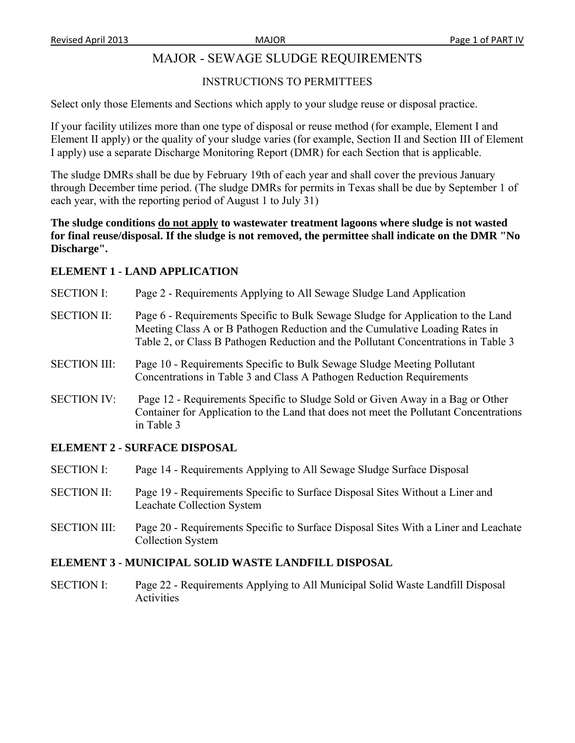# MAJOR - SEWAGE SLUDGE REQUIREMENTS

### INSTRUCTIONS TO PERMITTEES

Select only those Elements and Sections which apply to your sludge reuse or disposal practice.

If your facility utilizes more than one type of disposal or reuse method (for example, Element I and Element II apply) or the quality of your sludge varies (for example, Section II and Section III of Element I apply) use a separate Discharge Monitoring Report (DMR) for each Section that is applicable.

The sludge DMRs shall be due by February 19th of each year and shall cover the previous January through December time period. (The sludge DMRs for permits in Texas shall be due by September 1 of each year, with the reporting period of August 1 to July 31)

**The sludge conditions do not apply to wastewater treatment lagoons where sludge is not wasted for final reuse/disposal. If the sludge is not removed, the permittee shall indicate on the DMR "No Discharge".** 

### **ELEMENT 1 - LAND APPLICATION**

- SECTION I: Page 2 Requirements Applying to All Sewage Sludge Land Application
- SECTION II: Page 6 Requirements Specific to Bulk Sewage Sludge for Application to the Land Meeting Class A or B Pathogen Reduction and the Cumulative Loading Rates in Table 2, or Class B Pathogen Reduction and the Pollutant Concentrations in Table 3
- SECTION III: Page 10 Requirements Specific to Bulk Sewage Sludge Meeting Pollutant Concentrations in Table 3 and Class A Pathogen Reduction Requirements
- SECTION IV: Page 12 Requirements Specific to Sludge Sold or Given Away in a Bag or Other Container for Application to the Land that does not meet the Pollutant Concentrations in Table 3

#### **ELEMENT 2 - SURFACE DISPOSAL**

- SECTION I: Page 14 Requirements Applying to All Sewage Sludge Surface Disposal
- SECTION II: Page 19 Requirements Specific to Surface Disposal Sites Without a Liner and Leachate Collection System
- SECTION III: Page 20 Requirements Specific to Surface Disposal Sites With a Liner and Leachate Collection System

#### **ELEMENT 3 - MUNICIPAL SOLID WASTE LANDFILL DISPOSAL**

SECTION I: Page 22 - Requirements Applying to All Municipal Solid Waste Landfill Disposal **Activities**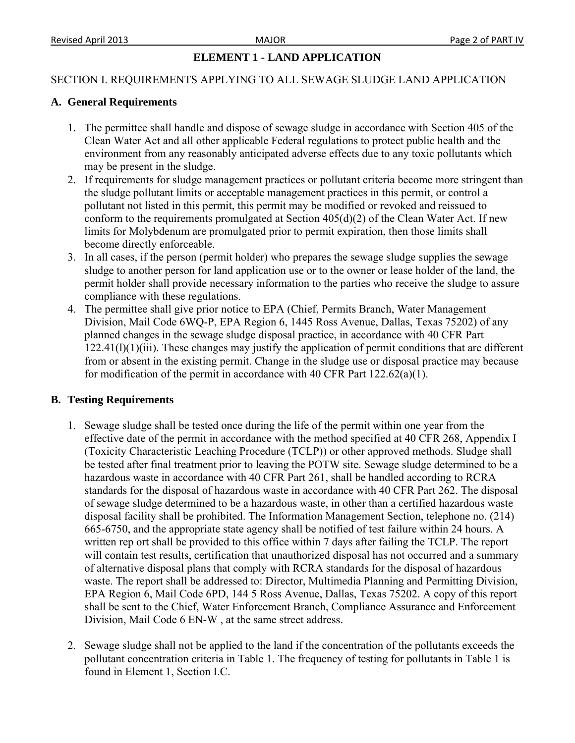### **ELEMENT 1 - LAND APPLICATION**

#### SECTION I. REQUIREMENTS APPLYING TO ALL SEWAGE SLUDGE LAND APPLICATION

#### **A. General Requirements**

- 1. The permittee shall handle and dispose of sewage sludge in accordance with Section 405 of the Clean Water Act and all other applicable Federal regulations to protect public health and the environment from any reasonably anticipated adverse effects due to any toxic pollutants which may be present in the sludge.
- 2. If requirements for sludge management practices or pollutant criteria become more stringent than the sludge pollutant limits or acceptable management practices in this permit, or control a pollutant not listed in this permit, this permit may be modified or revoked and reissued to conform to the requirements promulgated at Section 405(d)(2) of the Clean Water Act. If new limits for Molybdenum are promulgated prior to permit expiration, then those limits shall become directly enforceable.
- 3. In all cases, if the person (permit holder) who prepares the sewage sludge supplies the sewage sludge to another person for land application use or to the owner or lease holder of the land, the permit holder shall provide necessary information to the parties who receive the sludge to assure compliance with these regulations.
- 4. The permittee shall give prior notice to EPA (Chief, Permits Branch, Water Management Division, Mail Code 6WQ-P, EPA Region 6, 1445 Ross Avenue, Dallas, Texas 75202) of any planned changes in the sewage sludge disposal practice, in accordance with 40 CFR Part 122.41(l)(1)(iii). These changes may justify the application of permit conditions that are different from or absent in the existing permit. Change in the sludge use or disposal practice may because for modification of the permit in accordance with 40 CFR Part  $122.62(a)(1)$ .

#### **B. Testing Requirements**

- 1. Sewage sludge shall be tested once during the life of the permit within one year from the effective date of the permit in accordance with the method specified at 40 CFR 268, Appendix I (Toxicity Characteristic Leaching Procedure (TCLP)) or other approved methods. Sludge shall be tested after final treatment prior to leaving the POTW site. Sewage sludge determined to be a hazardous waste in accordance with 40 CFR Part 261, shall be handled according to RCRA standards for the disposal of hazardous waste in accordance with 40 CFR Part 262. The disposal of sewage sludge determined to be a hazardous waste, in other than a certified hazardous waste disposal facility shall be prohibited. The Information Management Section, telephone no. (214) 665-6750, and the appropriate state agency shall be notified of test failure within 24 hours. A written rep ort shall be provided to this office within 7 days after failing the TCLP. The report will contain test results, certification that unauthorized disposal has not occurred and a summary of alternative disposal plans that comply with RCRA standards for the disposal of hazardous waste. The report shall be addressed to: Director, Multimedia Planning and Permitting Division, EPA Region 6, Mail Code 6PD, 144 5 Ross Avenue, Dallas, Texas 75202. A copy of this report shall be sent to the Chief, Water Enforcement Branch, Compliance Assurance and Enforcement Division, Mail Code 6 EN-W , at the same street address.
- 2. Sewage sludge shall not be applied to the land if the concentration of the pollutants exceeds the pollutant concentration criteria in Table 1. The frequency of testing for pollutants in Table 1 is found in Element 1, Section I.C.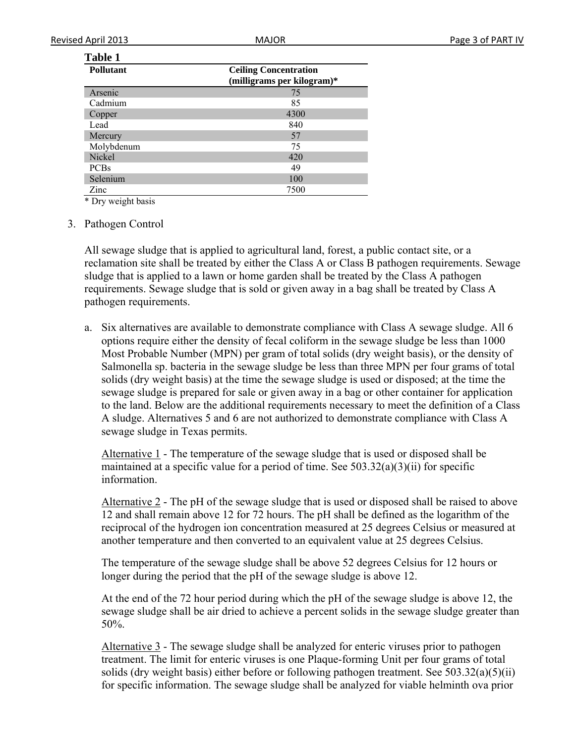### **Table 1**

| <b>Pollutant</b> | <b>Ceiling Concentration</b> |
|------------------|------------------------------|
|                  | (milligrams per kilogram)*   |
| Arsenic          | 75                           |
| Cadmium          | 85                           |
| Copper           | 4300                         |
| Lead             | 840                          |
| Mercury          | 57                           |
| Molybdenum       | 75                           |
| Nickel           | 420                          |
| <b>PCBs</b>      | 49                           |
| Selenium         | 100                          |
| Zinc             | 7500                         |

\* Dry weight basis

3. Pathogen Control

All sewage sludge that is applied to agricultural land, forest, a public contact site, or a reclamation site shall be treated by either the Class A or Class B pathogen requirements. Sewage sludge that is applied to a lawn or home garden shall be treated by the Class A pathogen requirements. Sewage sludge that is sold or given away in a bag shall be treated by Class A pathogen requirements.

a. Six alternatives are available to demonstrate compliance with Class A sewage sludge. All 6 options require either the density of fecal coliform in the sewage sludge be less than 1000 Most Probable Number (MPN) per gram of total solids (dry weight basis), or the density of Salmonella sp. bacteria in the sewage sludge be less than three MPN per four grams of total solids (dry weight basis) at the time the sewage sludge is used or disposed; at the time the sewage sludge is prepared for sale or given away in a bag or other container for application to the land. Below are the additional requirements necessary to meet the definition of a Class A sludge. Alternatives 5 and 6 are not authorized to demonstrate compliance with Class A sewage sludge in Texas permits.

Alternative 1 - The temperature of the sewage sludge that is used or disposed shall be maintained at a specific value for a period of time. See  $503.32(a)(3)(ii)$  for specific information.

Alternative 2 - The pH of the sewage sludge that is used or disposed shall be raised to above 12 and shall remain above 12 for 72 hours. The pH shall be defined as the logarithm of the reciprocal of the hydrogen ion concentration measured at 25 degrees Celsius or measured at another temperature and then converted to an equivalent value at 25 degrees Celsius.

The temperature of the sewage sludge shall be above 52 degrees Celsius for 12 hours or longer during the period that the pH of the sewage sludge is above 12.

At the end of the 72 hour period during which the pH of the sewage sludge is above 12, the sewage sludge shall be air dried to achieve a percent solids in the sewage sludge greater than 50%.

Alternative 3 - The sewage sludge shall be analyzed for enteric viruses prior to pathogen treatment. The limit for enteric viruses is one Plaque-forming Unit per four grams of total solids (dry weight basis) either before or following pathogen treatment. See  $503.32(a)(5)(ii)$ for specific information. The sewage sludge shall be analyzed for viable helminth ova prior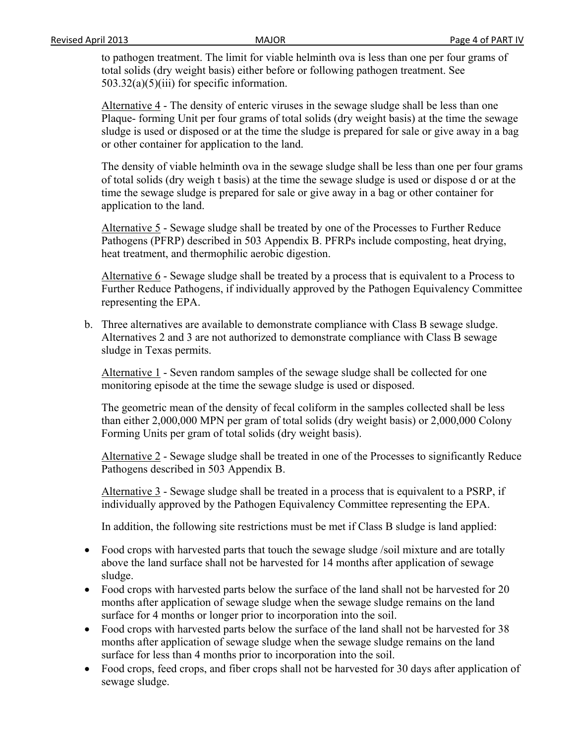to pathogen treatment. The limit for viable helminth ova is less than one per four grams of total solids (dry weight basis) either before or following pathogen treatment. See 503.32(a)(5)(iii) for specific information.

Alternative 4 - The density of enteric viruses in the sewage sludge shall be less than one Plaque- forming Unit per four grams of total solids (dry weight basis) at the time the sewage sludge is used or disposed or at the time the sludge is prepared for sale or give away in a bag or other container for application to the land.

The density of viable helminth ova in the sewage sludge shall be less than one per four grams of total solids (dry weigh t basis) at the time the sewage sludge is used or dispose d or at the time the sewage sludge is prepared for sale or give away in a bag or other container for application to the land.

Alternative 5 - Sewage sludge shall be treated by one of the Processes to Further Reduce Pathogens (PFRP) described in 503 Appendix B. PFRPs include composting, heat drying, heat treatment, and thermophilic aerobic digestion.

Alternative 6 - Sewage sludge shall be treated by a process that is equivalent to a Process to Further Reduce Pathogens, if individually approved by the Pathogen Equivalency Committee representing the EPA.

b. Three alternatives are available to demonstrate compliance with Class B sewage sludge. Alternatives 2 and 3 are not authorized to demonstrate compliance with Class B sewage sludge in Texas permits.

Alternative 1 - Seven random samples of the sewage sludge shall be collected for one monitoring episode at the time the sewage sludge is used or disposed.

The geometric mean of the density of fecal coliform in the samples collected shall be less than either 2,000,000 MPN per gram of total solids (dry weight basis) or 2,000,000 Colony Forming Units per gram of total solids (dry weight basis).

Alternative 2 - Sewage sludge shall be treated in one of the Processes to significantly Reduce Pathogens described in 503 Appendix B.

Alternative 3 - Sewage sludge shall be treated in a process that is equivalent to a PSRP, if individually approved by the Pathogen Equivalency Committee representing the EPA.

In addition, the following site restrictions must be met if Class B sludge is land applied:

- Food crops with harvested parts that touch the sewage sludge /soil mixture and are totally above the land surface shall not be harvested for 14 months after application of sewage sludge.
- Food crops with harvested parts below the surface of the land shall not be harvested for 20 months after application of sewage sludge when the sewage sludge remains on the land surface for 4 months or longer prior to incorporation into the soil.
- Food crops with harvested parts below the surface of the land shall not be harvested for 38 months after application of sewage sludge when the sewage sludge remains on the land surface for less than 4 months prior to incorporation into the soil.
- Food crops, feed crops, and fiber crops shall not be harvested for 30 days after application of sewage sludge.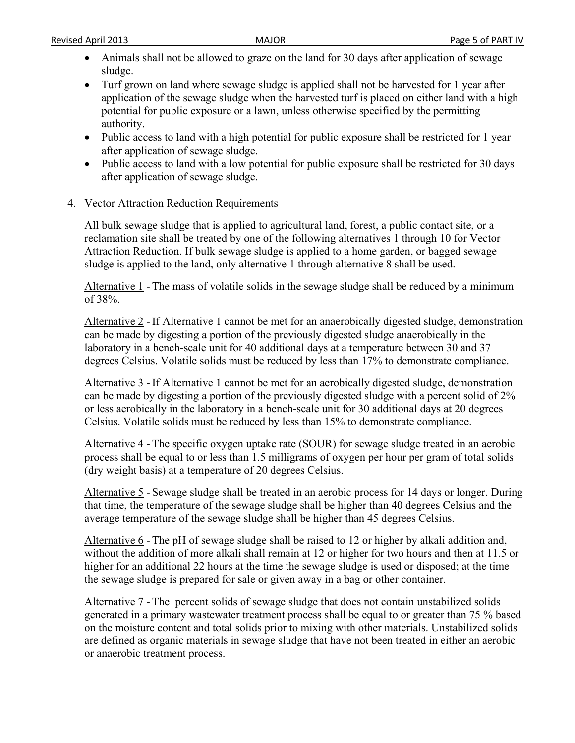- Animals shall not be allowed to graze on the land for 30 days after application of sewage sludge.
- Turf grown on land where sewage sludge is applied shall not be harvested for 1 year after application of the sewage sludge when the harvested turf is placed on either land with a high potential for public exposure or a lawn, unless otherwise specified by the permitting authority.
- Public access to land with a high potential for public exposure shall be restricted for 1 year after application of sewage sludge.
- Public access to land with a low potential for public exposure shall be restricted for 30 days after application of sewage sludge.
- 4. Vector Attraction Reduction Requirements

All bulk sewage sludge that is applied to agricultural land, forest, a public contact site, or a reclamation site shall be treated by one of the following alternatives 1 through 10 for Vector Attraction Reduction. If bulk sewage sludge is applied to a home garden, or bagged sewage sludge is applied to the land, only alternative 1 through alternative 8 shall be used.

Alternative 1 - The mass of volatile solids in the sewage sludge shall be reduced by a minimum of 38%.

Alternative 2 - If Alternative 1 cannot be met for an anaerobically digested sludge, demonstration can be made by digesting a portion of the previously digested sludge anaerobically in the laboratory in a bench-scale unit for 40 additional days at a temperature between 30 and 37 degrees Celsius. Volatile solids must be reduced by less than 17% to demonstrate compliance.

Alternative 3 - If Alternative 1 cannot be met for an aerobically digested sludge, demonstration can be made by digesting a portion of the previously digested sludge with a percent solid of 2% or less aerobically in the laboratory in a bench-scale unit for 30 additional days at 20 degrees Celsius. Volatile solids must be reduced by less than 15% to demonstrate compliance.

Alternative 4 - The specific oxygen uptake rate (SOUR) for sewage sludge treated in an aerobic process shall be equal to or less than 1.5 milligrams of oxygen per hour per gram of total solids (dry weight basis) at a temperature of 20 degrees Celsius.

Alternative 5 - Sewage sludge shall be treated in an aerobic process for 14 days or longer. During that time, the temperature of the sewage sludge shall be higher than 40 degrees Celsius and the average temperature of the sewage sludge shall be higher than 45 degrees Celsius.

Alternative 6 - The pH of sewage sludge shall be raised to 12 or higher by alkali addition and, without the addition of more alkali shall remain at 12 or higher for two hours and then at 11.5 or higher for an additional 22 hours at the time the sewage sludge is used or disposed; at the time the sewage sludge is prepared for sale or given away in a bag or other container.

Alternative 7 - The percent solids of sewage sludge that does not contain unstabilized solids generated in a primary wastewater treatment process shall be equal to or greater than 75 % based on the moisture content and total solids prior to mixing with other materials. Unstabilized solids are defined as organic materials in sewage sludge that have not been treated in either an aerobic or anaerobic treatment process.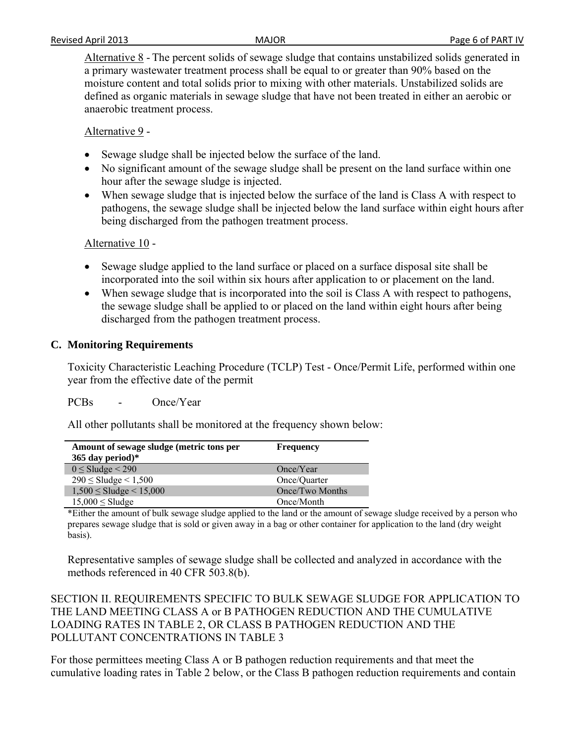Alternative 8 - The percent solids of sewage sludge that contains unstabilized solids generated in a primary wastewater treatment process shall be equal to or greater than 90% based on the moisture content and total solids prior to mixing with other materials. Unstabilized solids are defined as organic materials in sewage sludge that have not been treated in either an aerobic or anaerobic treatment process.

Alternative 9 -

- Sewage sludge shall be injected below the surface of the land.
- No significant amount of the sewage sludge shall be present on the land surface within one hour after the sewage sludge is injected.
- When sewage sludge that is injected below the surface of the land is Class A with respect to pathogens, the sewage sludge shall be injected below the land surface within eight hours after being discharged from the pathogen treatment process.

Alternative 10 -

- Sewage sludge applied to the land surface or placed on a surface disposal site shall be incorporated into the soil within six hours after application to or placement on the land.
- When sewage sludge that is incorporated into the soil is Class A with respect to pathogens, the sewage sludge shall be applied to or placed on the land within eight hours after being discharged from the pathogen treatment process.

### **C. Monitoring Requirements**

Toxicity Characteristic Leaching Procedure (TCLP) Test - Once/Permit Life, performed within one year from the effective date of the permit

PCBs - Once/Year

All other pollutants shall be monitored at the frequency shown below:

| Amount of sewage sludge (metric tons per | <b>Frequency</b> |  |
|------------------------------------------|------------------|--|
| 365 day period)*                         |                  |  |
| $0 \leq$ Sludge $\leq$ 290               | Once/Year        |  |
| $290 \leq$ Sludge $\leq 1,500$           | Once/Quarter     |  |
| $1,500 \leq$ Sludge $\leq 15,000$        | Once/Two Months  |  |
| $15,000 \leq$ Sludge                     | Once/Month       |  |

\*Either the amount of bulk sewage sludge applied to the land or the amount of sewage sludge received by a person who prepares sewage sludge that is sold or given away in a bag or other container for application to the land (dry weight basis).

Representative samples of sewage sludge shall be collected and analyzed in accordance with the methods referenced in 40 CFR 503.8(b).

SECTION II. REQUIREMENTS SPECIFIC TO BULK SEWAGE SLUDGE FOR APPLICATION TO THE LAND MEETING CLASS A or B PATHOGEN REDUCTION AND THE CUMULATIVE LOADING RATES IN TABLE 2, OR CLASS B PATHOGEN REDUCTION AND THE POLLUTANT CONCENTRATIONS IN TABLE 3

For those permittees meeting Class A or B pathogen reduction requirements and that meet the cumulative loading rates in Table 2 below, or the Class B pathogen reduction requirements and contain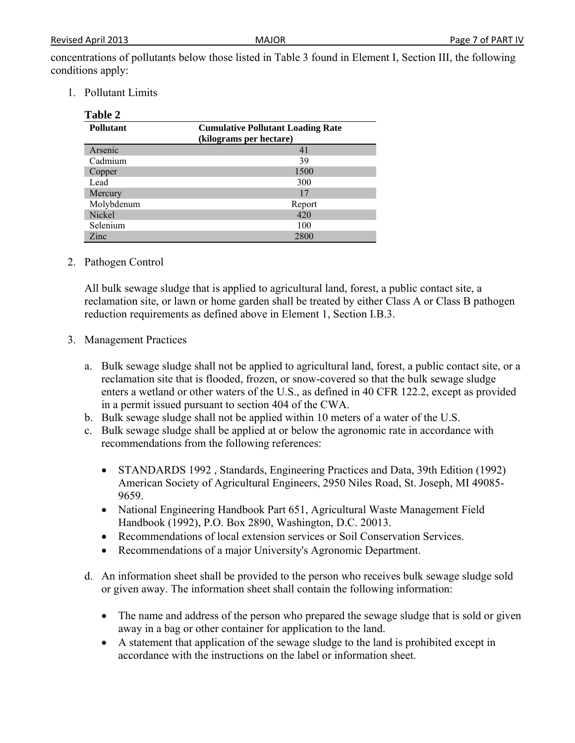concentrations of pollutants below those listed in Table 3 found in Element I, Section III, the following conditions apply:

1. Pollutant Limits

 $T_1$   $1$   $2$ 

| <b>Pollutant</b> | <b>Cumulative Pollutant Loading Rate</b><br>(kilograms per hectare) |  |
|------------------|---------------------------------------------------------------------|--|
| Arsenic          | 41                                                                  |  |
| Cadmium          | 39                                                                  |  |
| Copper           | 1500                                                                |  |
| Lead             | 300                                                                 |  |
| Mercury          | 17                                                                  |  |
| Molybdenum       | Report                                                              |  |
| Nickel           | 420                                                                 |  |
| Selenium         | 100                                                                 |  |
| Zinc             | 2800                                                                |  |

#### 2. Pathogen Control

All bulk sewage sludge that is applied to agricultural land, forest, a public contact site, a reclamation site, or lawn or home garden shall be treated by either Class A or Class B pathogen reduction requirements as defined above in Element 1, Section I.B.3.

- 3. Management Practices
	- a. Bulk sewage sludge shall not be applied to agricultural land, forest, a public contact site, or a reclamation site that is flooded, frozen, or snow-covered so that the bulk sewage sludge enters a wetland or other waters of the U.S., as defined in 40 CFR 122.2, except as provided in a permit issued pursuant to section 404 of the CWA.
	- b. Bulk sewage sludge shall not be applied within 10 meters of a water of the U.S.
	- c. Bulk sewage sludge shall be applied at or below the agronomic rate in accordance with recommendations from the following references:
		- STANDARDS 1992, Standards, Engineering Practices and Data, 39th Edition (1992) American Society of Agricultural Engineers, 2950 Niles Road, St. Joseph, MI 49085- 9659.
		- National Engineering Handbook Part 651, Agricultural Waste Management Field Handbook (1992), P.O. Box 2890, Washington, D.C. 20013.
		- Recommendations of local extension services or Soil Conservation Services.
		- Recommendations of a major University's Agronomic Department.
	- d. An information sheet shall be provided to the person who receives bulk sewage sludge sold or given away. The information sheet shall contain the following information:
		- The name and address of the person who prepared the sewage sludge that is sold or given away in a bag or other container for application to the land.
		- A statement that application of the sewage sludge to the land is prohibited except in accordance with the instructions on the label or information sheet.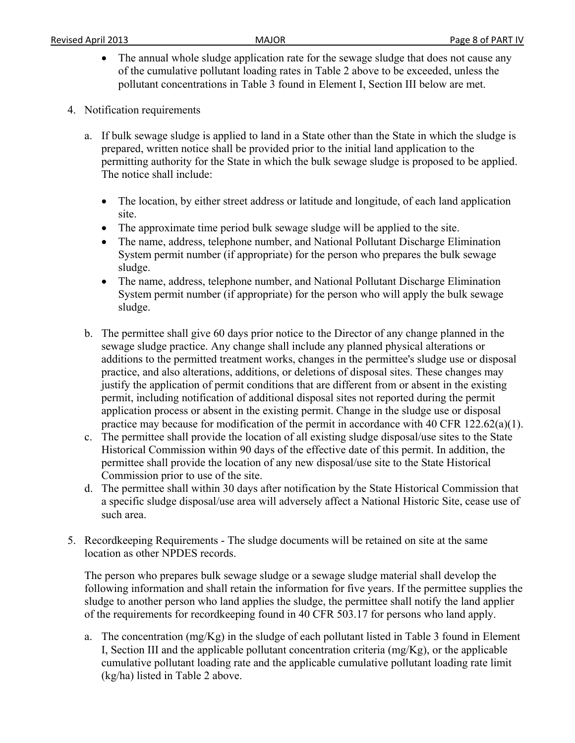- The annual whole sludge application rate for the sewage sludge that does not cause any of the cumulative pollutant loading rates in Table 2 above to be exceeded, unless the pollutant concentrations in Table 3 found in Element I, Section III below are met.
- 4. Notification requirements
	- a. If bulk sewage sludge is applied to land in a State other than the State in which the sludge is prepared, written notice shall be provided prior to the initial land application to the permitting authority for the State in which the bulk sewage sludge is proposed to be applied. The notice shall include:
		- The location, by either street address or latitude and longitude, of each land application site.
		- The approximate time period bulk sewage sludge will be applied to the site.
		- The name, address, telephone number, and National Pollutant Discharge Elimination System permit number (if appropriate) for the person who prepares the bulk sewage sludge.
		- The name, address, telephone number, and National Pollutant Discharge Elimination System permit number (if appropriate) for the person who will apply the bulk sewage sludge.
	- b. The permittee shall give 60 days prior notice to the Director of any change planned in the sewage sludge practice. Any change shall include any planned physical alterations or additions to the permitted treatment works, changes in the permittee's sludge use or disposal practice, and also alterations, additions, or deletions of disposal sites. These changes may justify the application of permit conditions that are different from or absent in the existing permit, including notification of additional disposal sites not reported during the permit application process or absent in the existing permit. Change in the sludge use or disposal practice may because for modification of the permit in accordance with 40 CFR 122.62(a)(1).
	- c. The permittee shall provide the location of all existing sludge disposal/use sites to the State Historical Commission within 90 days of the effective date of this permit. In addition, the permittee shall provide the location of any new disposal/use site to the State Historical Commission prior to use of the site.
	- d. The permittee shall within 30 days after notification by the State Historical Commission that a specific sludge disposal/use area will adversely affect a National Historic Site, cease use of such area.
- 5. Recordkeeping Requirements The sludge documents will be retained on site at the same location as other NPDES records.

The person who prepares bulk sewage sludge or a sewage sludge material shall develop the following information and shall retain the information for five years. If the permittee supplies the sludge to another person who land applies the sludge, the permittee shall notify the land applier of the requirements for recordkeeping found in 40 CFR 503.17 for persons who land apply.

a. The concentration (mg/Kg) in the sludge of each pollutant listed in Table 3 found in Element I, Section III and the applicable pollutant concentration criteria (mg/Kg), or the applicable cumulative pollutant loading rate and the applicable cumulative pollutant loading rate limit (kg/ha) listed in Table 2 above.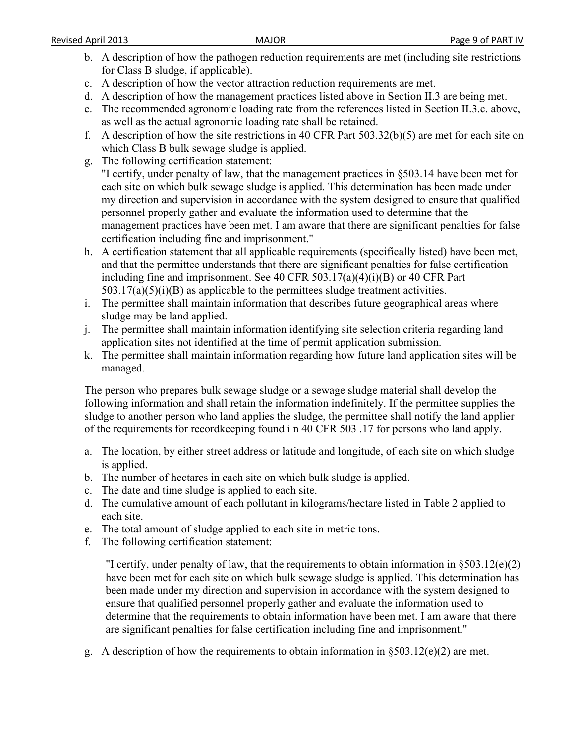- b. A description of how the pathogen reduction requirements are met (including site restrictions for Class B sludge, if applicable).
- c. A description of how the vector attraction reduction requirements are met.
- d. A description of how the management practices listed above in Section II.3 are being met.
- e. The recommended agronomic loading rate from the references listed in Section II.3.c. above, as well as the actual agronomic loading rate shall be retained.
- f. A description of how the site restrictions in 40 CFR Part 503.32(b)(5) are met for each site on which Class B bulk sewage sludge is applied.
- g. The following certification statement:

"I certify, under penalty of law, that the management practices in §503.14 have been met for each site on which bulk sewage sludge is applied. This determination has been made under my direction and supervision in accordance with the system designed to ensure that qualified personnel properly gather and evaluate the information used to determine that the management practices have been met. I am aware that there are significant penalties for false certification including fine and imprisonment."

- h. A certification statement that all applicable requirements (specifically listed) have been met, and that the permittee understands that there are significant penalties for false certification including fine and imprisonment. See 40 CFR 503.17(a)(4)(i)(B) or 40 CFR Part  $503.17(a)(5)(i)(B)$  as applicable to the permittees sludge treatment activities.
- i. The permittee shall maintain information that describes future geographical areas where sludge may be land applied.
- j. The permittee shall maintain information identifying site selection criteria regarding land application sites not identified at the time of permit application submission.
- k. The permittee shall maintain information regarding how future land application sites will be managed.

The person who prepares bulk sewage sludge or a sewage sludge material shall develop the following information and shall retain the information indefinitely. If the permittee supplies the sludge to another person who land applies the sludge, the permittee shall notify the land applier of the requirements for recordkeeping found i n 40 CFR 503 .17 for persons who land apply.

- a. The location, by either street address or latitude and longitude, of each site on which sludge is applied.
- b. The number of hectares in each site on which bulk sludge is applied.
- c. The date and time sludge is applied to each site.
- d. The cumulative amount of each pollutant in kilograms/hectare listed in Table 2 applied to each site.
- e. The total amount of sludge applied to each site in metric tons.
- f. The following certification statement:

"I certify, under penalty of law, that the requirements to obtain information in §503.12(e)(2) have been met for each site on which bulk sewage sludge is applied. This determination has been made under my direction and supervision in accordance with the system designed to ensure that qualified personnel properly gather and evaluate the information used to determine that the requirements to obtain information have been met. I am aware that there are significant penalties for false certification including fine and imprisonment."

g. A description of how the requirements to obtain information in  $\S 503.12(e)(2)$  are met.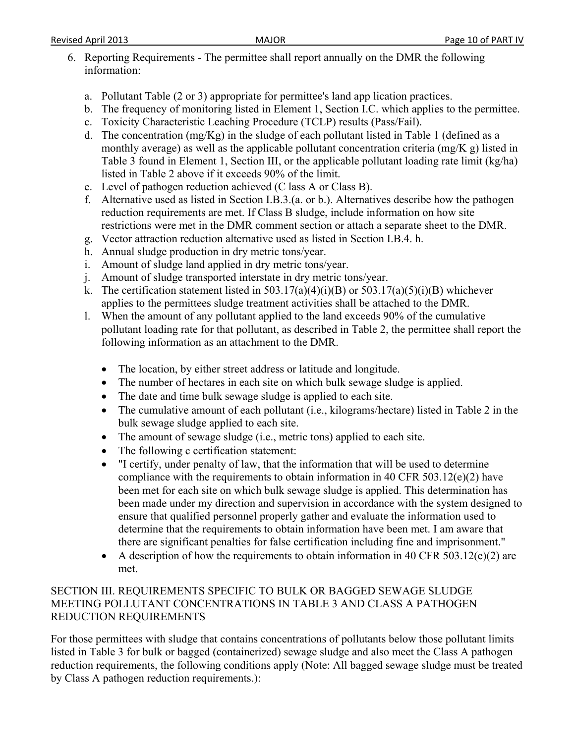- 6. Reporting Requirements The permittee shall report annually on the DMR the following information:
	- a. Pollutant Table (2 or 3) appropriate for permittee's land app lication practices.
	- b. The frequency of monitoring listed in Element 1, Section I.C. which applies to the permittee.
	- c. Toxicity Characteristic Leaching Procedure (TCLP) results (Pass/Fail).
	- d. The concentration (mg/Kg) in the sludge of each pollutant listed in Table 1 (defined as a monthly average) as well as the applicable pollutant concentration criteria (mg/K g) listed in Table 3 found in Element 1, Section III, or the applicable pollutant loading rate limit (kg/ha) listed in Table 2 above if it exceeds 90% of the limit.
	- e. Level of pathogen reduction achieved (C lass A or Class B).
	- f. Alternative used as listed in Section I.B.3.(a. or b.). Alternatives describe how the pathogen reduction requirements are met. If Class B sludge, include information on how site restrictions were met in the DMR comment section or attach a separate sheet to the DMR.
	- g. Vector attraction reduction alternative used as listed in Section I.B.4. h.
	- h. Annual sludge production in dry metric tons/year.
	- i. Amount of sludge land applied in dry metric tons/year.
	- j. Amount of sludge transported interstate in dry metric tons/year.
	- k. The certification statement listed in  $503.17(a)(4)(i)(B)$  or  $503.17(a)(5)(i)(B)$  whichever applies to the permittees sludge treatment activities shall be attached to the DMR.
	- l. When the amount of any pollutant applied to the land exceeds 90% of the cumulative pollutant loading rate for that pollutant, as described in Table 2, the permittee shall report the following information as an attachment to the DMR.
		- The location, by either street address or latitude and longitude.
		- The number of hectares in each site on which bulk sewage sludge is applied.
		- The date and time bulk sewage sludge is applied to each site.
		- The cumulative amount of each pollutant (i.e., kilograms/hectare) listed in Table 2 in the bulk sewage sludge applied to each site.
		- The amount of sewage sludge (i.e., metric tons) applied to each site.
		- The following c certification statement:
		- "I certify, under penalty of law, that the information that will be used to determine compliance with the requirements to obtain information in 40 CFR 503.12(e)(2) have been met for each site on which bulk sewage sludge is applied. This determination has been made under my direction and supervision in accordance with the system designed to ensure that qualified personnel properly gather and evaluate the information used to determine that the requirements to obtain information have been met. I am aware that there are significant penalties for false certification including fine and imprisonment."
		- A description of how the requirements to obtain information in 40 CFR 503.12(e)(2) are met.

# SECTION III. REQUIREMENTS SPECIFIC TO BULK OR BAGGED SEWAGE SLUDGE MEETING POLLUTANT CONCENTRATIONS IN TABLE 3 AND CLASS A PATHOGEN REDUCTION REQUIREMENTS

For those permittees with sludge that contains concentrations of pollutants below those pollutant limits listed in Table 3 for bulk or bagged (containerized) sewage sludge and also meet the Class A pathogen reduction requirements, the following conditions apply (Note: All bagged sewage sludge must be treated by Class A pathogen reduction requirements.):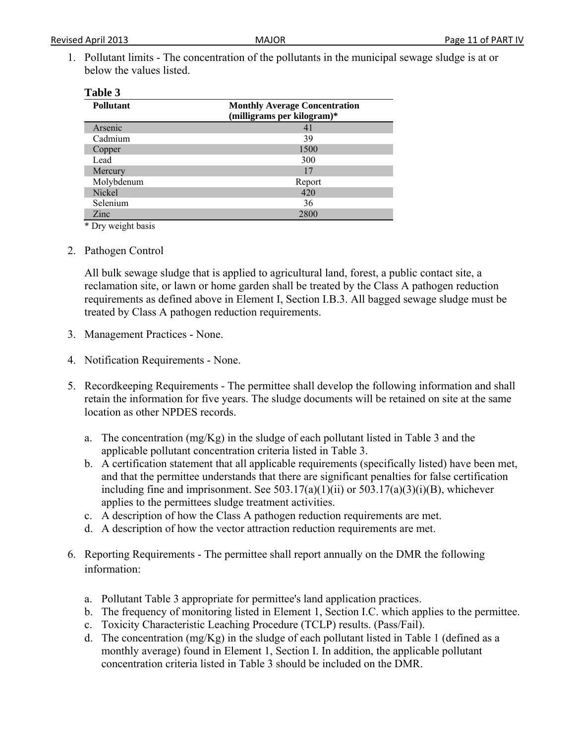1. Pollutant limits - The concentration of the pollutants in the municipal sewage sludge is at or below the values listed.

| <b>Pollutant</b> | <b>Monthly Average Concentration</b><br>(milligrams per kilogram)* |
|------------------|--------------------------------------------------------------------|
| Arsenic          | 41                                                                 |
| Cadmium          | 39                                                                 |
| Copper           | 1500                                                               |
| Lead             | 300                                                                |
| Mercury          | 17                                                                 |
| Molybdenum       | Report                                                             |
| Nickel           | 420                                                                |
| Selenium         | 36                                                                 |
| Zinc             | 2800                                                               |

\* Dry weight basis

2. Pathogen Control

All bulk sewage sludge that is applied to agricultural land, forest, a public contact site, a reclamation site, or lawn or home garden shall be treated by the Class A pathogen reduction requirements as defined above in Element I, Section I.B.3. All bagged sewage sludge must be treated by Class A pathogen reduction requirements.

- 3. Management Practices None.
- 4. Notification Requirements None.
- 5. Recordkeeping Requirements The permittee shall develop the following information and shall retain the information for five years. The sludge documents will be retained on site at the same location as other NPDES records.
	- a. The concentration (mg/Kg) in the sludge of each pollutant listed in Table 3 and the applicable pollutant concentration criteria listed in Table 3.
	- b. A certification statement that all applicable requirements (specifically listed) have been met, and that the permittee understands that there are significant penalties for false certification including fine and imprisonment. See  $503.17(a)(1)(ii)$  or  $503.17(a)(3)(i)(B)$ , whichever applies to the permittees sludge treatment activities.
	- c. A description of how the Class A pathogen reduction requirements are met.
	- d. A description of how the vector attraction reduction requirements are met.
- 6. Reporting Requirements The permittee shall report annually on the DMR the following information:
	- a. Pollutant Table 3 appropriate for permittee's land application practices.
	- b. The frequency of monitoring listed in Element 1, Section I.C. which applies to the permittee.
	- c. Toxicity Characteristic Leaching Procedure (TCLP) results. (Pass/Fail).
	- d. The concentration (mg/Kg) in the sludge of each pollutant listed in Table 1 (defined as a monthly average) found in Element 1, Section I. In addition, the applicable pollutant concentration criteria listed in Table 3 should be included on the DMR.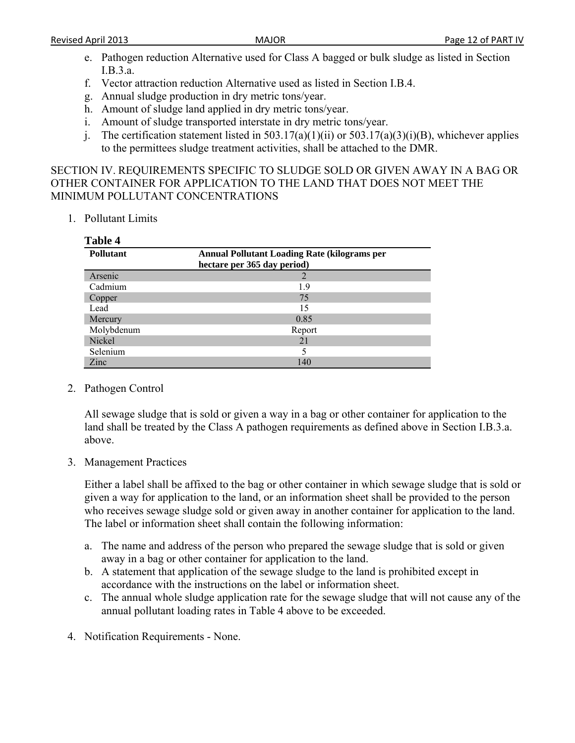- e. Pathogen reduction Alternative used for Class A bagged or bulk sludge as listed in Section I.B.3.a.
- f. Vector attraction reduction Alternative used as listed in Section I.B.4.
- g. Annual sludge production in dry metric tons/year.
- h. Amount of sludge land applied in dry metric tons/year.
- i. Amount of sludge transported interstate in dry metric tons/year.
- j. The certification statement listed in  $503.17(a)(1)(ii)$  or  $503.17(a)(3)(i)(B)$ , whichever applies to the permittees sludge treatment activities, shall be attached to the DMR.

SECTION IV. REQUIREMENTS SPECIFIC TO SLUDGE SOLD OR GIVEN AWAY IN A BAG OR OTHER CONTAINER FOR APPLICATION TO THE LAND THAT DOES NOT MEET THE MINIMUM POLLUTANT CONCENTRATIONS

1. Pollutant Limits

| Table 4          |                                                                                    |
|------------------|------------------------------------------------------------------------------------|
| <b>Pollutant</b> | <b>Annual Pollutant Loading Rate (kilograms per</b><br>hectare per 365 day period) |
| Arsenic          |                                                                                    |
| Cadmium          | 19                                                                                 |
| Copper           | 75                                                                                 |
| Lead             | 15                                                                                 |
| Mercury          | 0.85                                                                               |
| Molybdenum       | Report                                                                             |
| Nickel           | 21                                                                                 |
| Selenium         |                                                                                    |
| Zinc             | 140                                                                                |

2. Pathogen Control

All sewage sludge that is sold or given a way in a bag or other container for application to the land shall be treated by the Class A pathogen requirements as defined above in Section I.B.3.a. above.

3. Management Practices

Either a label shall be affixed to the bag or other container in which sewage sludge that is sold or given a way for application to the land, or an information sheet shall be provided to the person who receives sewage sludge sold or given away in another container for application to the land. The label or information sheet shall contain the following information:

- a. The name and address of the person who prepared the sewage sludge that is sold or given away in a bag or other container for application to the land.
- b. A statement that application of the sewage sludge to the land is prohibited except in accordance with the instructions on the label or information sheet.
- c. The annual whole sludge application rate for the sewage sludge that will not cause any of the annual pollutant loading rates in Table 4 above to be exceeded.
- 4. Notification Requirements None.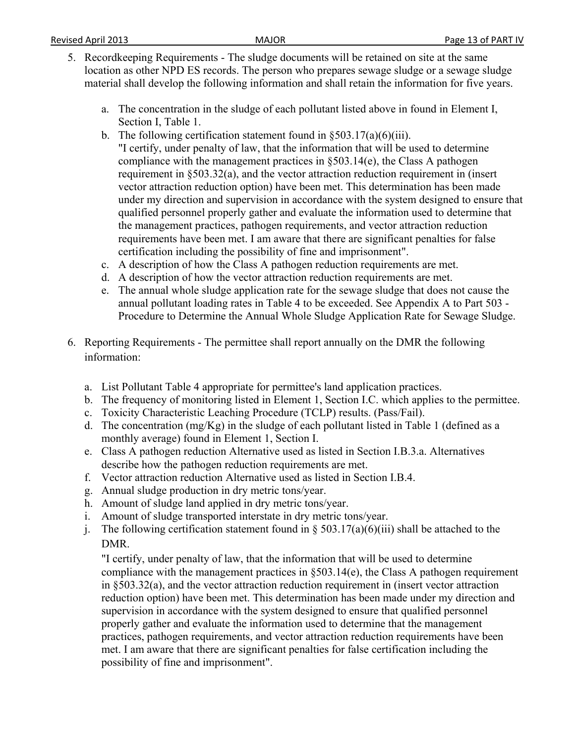- 5. Recordkeeping Requirements The sludge documents will be retained on site at the same location as other NPD ES records. The person who prepares sewage sludge or a sewage sludge material shall develop the following information and shall retain the information for five years.
	- a. The concentration in the sludge of each pollutant listed above in found in Element I, Section I, Table 1.
	- b. The following certification statement found in  $\S 503.17(a)(6)(iii)$ .
	- "I certify, under penalty of law, that the information that will be used to determine compliance with the management practices in §503.14(e), the Class A pathogen requirement in §503.32(a), and the vector attraction reduction requirement in (insert vector attraction reduction option) have been met. This determination has been made under my direction and supervision in accordance with the system designed to ensure that qualified personnel properly gather and evaluate the information used to determine that the management practices, pathogen requirements, and vector attraction reduction requirements have been met. I am aware that there are significant penalties for false certification including the possibility of fine and imprisonment".
	- c. A description of how the Class A pathogen reduction requirements are met.
	- d. A description of how the vector attraction reduction requirements are met.
	- e. The annual whole sludge application rate for the sewage sludge that does not cause the annual pollutant loading rates in Table 4 to be exceeded. See Appendix A to Part 503 - Procedure to Determine the Annual Whole Sludge Application Rate for Sewage Sludge.
- 6. Reporting Requirements The permittee shall report annually on the DMR the following information:
	- a. List Pollutant Table 4 appropriate for permittee's land application practices.
	- b. The frequency of monitoring listed in Element 1, Section I.C. which applies to the permittee.
	- c. Toxicity Characteristic Leaching Procedure (TCLP) results. (Pass/Fail).
	- d. The concentration (mg/Kg) in the sludge of each pollutant listed in Table 1 (defined as a monthly average) found in Element 1, Section I.
	- e. Class A pathogen reduction Alternative used as listed in Section I.B.3.a. Alternatives describe how the pathogen reduction requirements are met.
	- f. Vector attraction reduction Alternative used as listed in Section I.B.4.
	- g. Annual sludge production in dry metric tons/year.
	- h. Amount of sludge land applied in dry metric tons/year.
	- i. Amount of sludge transported interstate in dry metric tons/year.
	- j. The following certification statement found in  $\S 503.17(a)(6)(iii)$  shall be attached to the DMR.

"I certify, under penalty of law, that the information that will be used to determine compliance with the management practices in §503.14(e), the Class A pathogen requirement in §503.32(a), and the vector attraction reduction requirement in (insert vector attraction reduction option) have been met. This determination has been made under my direction and supervision in accordance with the system designed to ensure that qualified personnel properly gather and evaluate the information used to determine that the management practices, pathogen requirements, and vector attraction reduction requirements have been met. I am aware that there are significant penalties for false certification including the possibility of fine and imprisonment".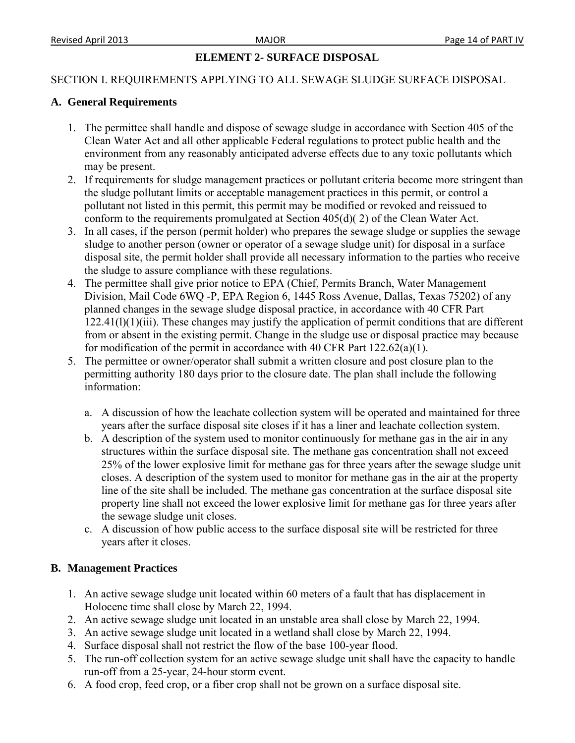### **ELEMENT 2- SURFACE DISPOSAL**

#### SECTION I. REQUIREMENTS APPLYING TO ALL SEWAGE SLUDGE SURFACE DISPOSAL

#### **A. General Requirements**

- 1. The permittee shall handle and dispose of sewage sludge in accordance with Section 405 of the Clean Water Act and all other applicable Federal regulations to protect public health and the environment from any reasonably anticipated adverse effects due to any toxic pollutants which may be present.
- 2. If requirements for sludge management practices or pollutant criteria become more stringent than the sludge pollutant limits or acceptable management practices in this permit, or control a pollutant not listed in this permit, this permit may be modified or revoked and reissued to conform to the requirements promulgated at Section 405(d)( 2) of the Clean Water Act.
- 3. In all cases, if the person (permit holder) who prepares the sewage sludge or supplies the sewage sludge to another person (owner or operator of a sewage sludge unit) for disposal in a surface disposal site, the permit holder shall provide all necessary information to the parties who receive the sludge to assure compliance with these regulations.
- 4. The permittee shall give prior notice to EPA (Chief, Permits Branch, Water Management Division, Mail Code 6WQ -P, EPA Region 6, 1445 Ross Avenue, Dallas, Texas 75202) of any planned changes in the sewage sludge disposal practice, in accordance with 40 CFR Part 122.41(l)(1)(iii). These changes may justify the application of permit conditions that are different from or absent in the existing permit. Change in the sludge use or disposal practice may because for modification of the permit in accordance with 40 CFR Part  $122.62(a)(1)$ .
- 5. The permittee or owner/operator shall submit a written closure and post closure plan to the permitting authority 180 days prior to the closure date. The plan shall include the following information:
	- a. A discussion of how the leachate collection system will be operated and maintained for three years after the surface disposal site closes if it has a liner and leachate collection system.
	- b. A description of the system used to monitor continuously for methane gas in the air in any structures within the surface disposal site. The methane gas concentration shall not exceed 25% of the lower explosive limit for methane gas for three years after the sewage sludge unit closes. A description of the system used to monitor for methane gas in the air at the property line of the site shall be included. The methane gas concentration at the surface disposal site property line shall not exceed the lower explosive limit for methane gas for three years after the sewage sludge unit closes.
	- c. A discussion of how public access to the surface disposal site will be restricted for three years after it closes.

#### **B. Management Practices**

- 1. An active sewage sludge unit located within 60 meters of a fault that has displacement in Holocene time shall close by March 22, 1994.
- 2. An active sewage sludge unit located in an unstable area shall close by March 22, 1994.
- 3. An active sewage sludge unit located in a wetland shall close by March 22, 1994.
- 4. Surface disposal shall not restrict the flow of the base 100-year flood.
- 5. The run-off collection system for an active sewage sludge unit shall have the capacity to handle run-off from a 25-year, 24-hour storm event.
- 6. A food crop, feed crop, or a fiber crop shall not be grown on a surface disposal site.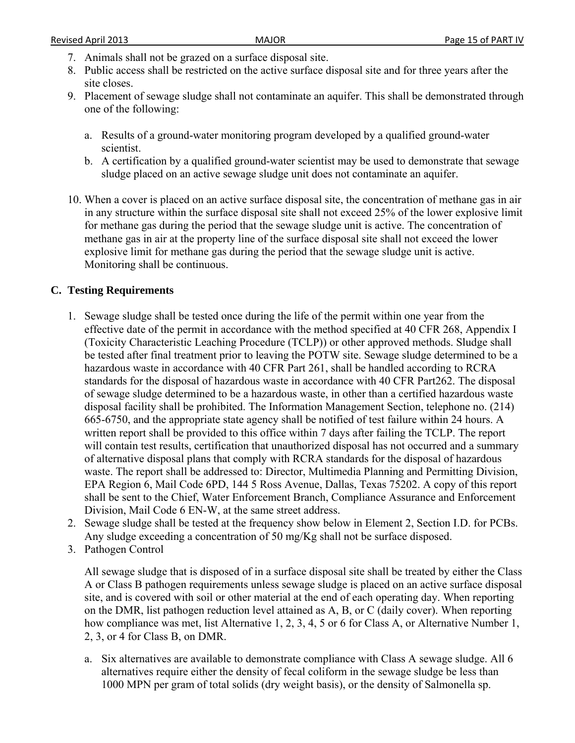- 7. Animals shall not be grazed on a surface disposal site.
- 8. Public access shall be restricted on the active surface disposal site and for three years after the site closes.
- 9. Placement of sewage sludge shall not contaminate an aquifer. This shall be demonstrated through one of the following:
	- a. Results of a ground-water monitoring program developed by a qualified ground-water scientist.
	- b. A certification by a qualified ground-water scientist may be used to demonstrate that sewage sludge placed on an active sewage sludge unit does not contaminate an aquifer.
- 10. When a cover is placed on an active surface disposal site, the concentration of methane gas in air in any structure within the surface disposal site shall not exceed 25% of the lower explosive limit for methane gas during the period that the sewage sludge unit is active. The concentration of methane gas in air at the property line of the surface disposal site shall not exceed the lower explosive limit for methane gas during the period that the sewage sludge unit is active. Monitoring shall be continuous.

### **C. Testing Requirements**

- 1. Sewage sludge shall be tested once during the life of the permit within one year from the effective date of the permit in accordance with the method specified at 40 CFR 268, Appendix I (Toxicity Characteristic Leaching Procedure (TCLP)) or other approved methods. Sludge shall be tested after final treatment prior to leaving the POTW site. Sewage sludge determined to be a hazardous waste in accordance with 40 CFR Part 261, shall be handled according to RCRA standards for the disposal of hazardous waste in accordance with 40 CFR Part262. The disposal of sewage sludge determined to be a hazardous waste, in other than a certified hazardous waste disposal facility shall be prohibited. The Information Management Section, telephone no. (214) 665-6750, and the appropriate state agency shall be notified of test failure within 24 hours. A written report shall be provided to this office within 7 days after failing the TCLP. The report will contain test results, certification that unauthorized disposal has not occurred and a summary of alternative disposal plans that comply with RCRA standards for the disposal of hazardous waste. The report shall be addressed to: Director, Multimedia Planning and Permitting Division, EPA Region 6, Mail Code 6PD, 144 5 Ross Avenue, Dallas, Texas 75202. A copy of this report shall be sent to the Chief, Water Enforcement Branch, Compliance Assurance and Enforcement Division, Mail Code 6 EN-W, at the same street address.
- 2. Sewage sludge shall be tested at the frequency show below in Element 2, Section I.D. for PCBs. Any sludge exceeding a concentration of 50 mg/Kg shall not be surface disposed.
- 3. Pathogen Control

All sewage sludge that is disposed of in a surface disposal site shall be treated by either the Class A or Class B pathogen requirements unless sewage sludge is placed on an active surface disposal site, and is covered with soil or other material at the end of each operating day. When reporting on the DMR, list pathogen reduction level attained as A, B, or C (daily cover). When reporting how compliance was met, list Alternative 1, 2, 3, 4, 5 or 6 for Class A, or Alternative Number 1, 2, 3, or 4 for Class B, on DMR.

a. Six alternatives are available to demonstrate compliance with Class A sewage sludge. All 6 alternatives require either the density of fecal coliform in the sewage sludge be less than 1000 MPN per gram of total solids (dry weight basis), or the density of Salmonella sp.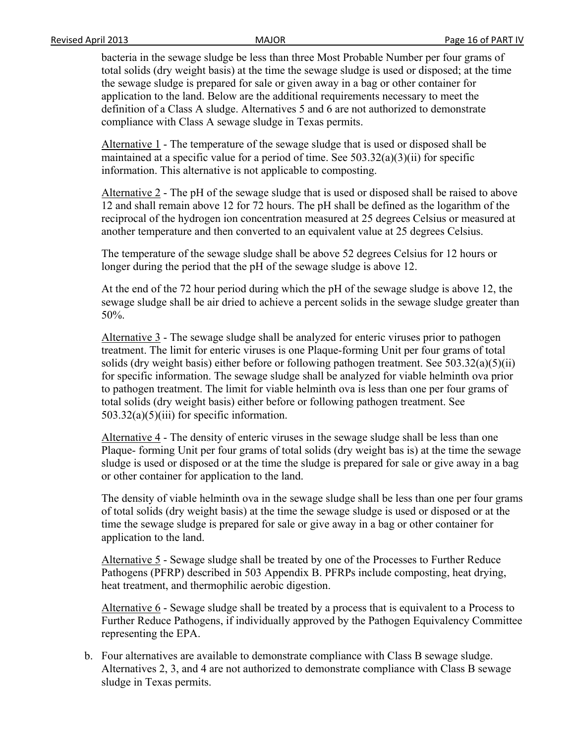bacteria in the sewage sludge be less than three Most Probable Number per four grams of total solids (dry weight basis) at the time the sewage sludge is used or disposed; at the time the sewage sludge is prepared for sale or given away in a bag or other container for application to the land. Below are the additional requirements necessary to meet the definition of a Class A sludge. Alternatives 5 and 6 are not authorized to demonstrate compliance with Class A sewage sludge in Texas permits.

Alternative 1 - The temperature of the sewage sludge that is used or disposed shall be maintained at a specific value for a period of time. See 503.32(a)(3)(ii) for specific information. This alternative is not applicable to composting.

Alternative 2 - The pH of the sewage sludge that is used or disposed shall be raised to above 12 and shall remain above 12 for 72 hours. The pH shall be defined as the logarithm of the reciprocal of the hydrogen ion concentration measured at 25 degrees Celsius or measured at another temperature and then converted to an equivalent value at 25 degrees Celsius.

The temperature of the sewage sludge shall be above 52 degrees Celsius for 12 hours or longer during the period that the pH of the sewage sludge is above 12.

At the end of the 72 hour period during which the pH of the sewage sludge is above 12, the sewage sludge shall be air dried to achieve a percent solids in the sewage sludge greater than 50%.

Alternative 3 - The sewage sludge shall be analyzed for enteric viruses prior to pathogen treatment. The limit for enteric viruses is one Plaque-forming Unit per four grams of total solids (dry weight basis) either before or following pathogen treatment. See 503.32(a)(5)(ii) for specific information. The sewage sludge shall be analyzed for viable helminth ova prior to pathogen treatment. The limit for viable helminth ova is less than one per four grams of total solids (dry weight basis) either before or following pathogen treatment. See  $503.32(a)(5)(iii)$  for specific information.

Alternative 4 - The density of enteric viruses in the sewage sludge shall be less than one Plaque- forming Unit per four grams of total solids (dry weight bas is) at the time the sewage sludge is used or disposed or at the time the sludge is prepared for sale or give away in a bag or other container for application to the land.

The density of viable helminth ova in the sewage sludge shall be less than one per four grams of total solids (dry weight basis) at the time the sewage sludge is used or disposed or at the time the sewage sludge is prepared for sale or give away in a bag or other container for application to the land.

Alternative 5 - Sewage sludge shall be treated by one of the Processes to Further Reduce Pathogens (PFRP) described in 503 Appendix B. PFRPs include composting, heat drying, heat treatment, and thermophilic aerobic digestion.

Alternative 6 - Sewage sludge shall be treated by a process that is equivalent to a Process to Further Reduce Pathogens, if individually approved by the Pathogen Equivalency Committee representing the EPA.

b. Four alternatives are available to demonstrate compliance with Class B sewage sludge. Alternatives 2, 3, and 4 are not authorized to demonstrate compliance with Class B sewage sludge in Texas permits.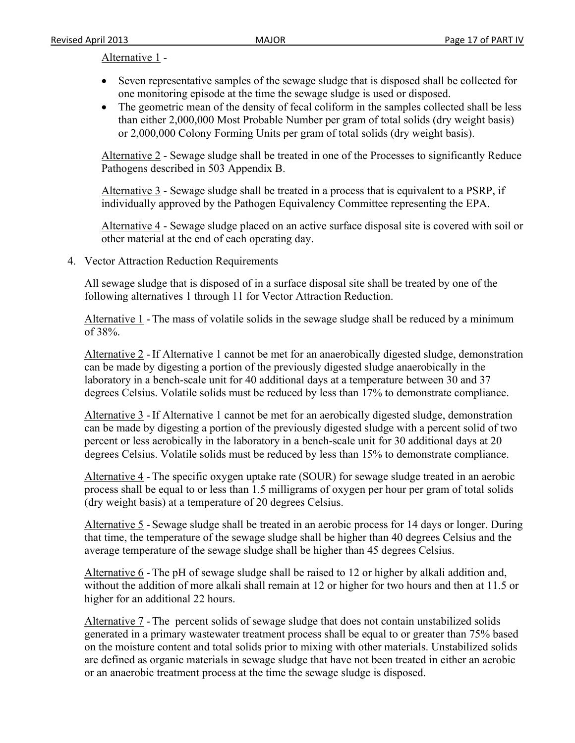#### Alternative 1 -

- Seven representative samples of the sewage sludge that is disposed shall be collected for one monitoring episode at the time the sewage sludge is used or disposed.
- The geometric mean of the density of fecal coliform in the samples collected shall be less than either 2,000,000 Most Probable Number per gram of total solids (dry weight basis) or 2,000,000 Colony Forming Units per gram of total solids (dry weight basis).

Alternative 2 - Sewage sludge shall be treated in one of the Processes to significantly Reduce Pathogens described in 503 Appendix B.

Alternative 3 - Sewage sludge shall be treated in a process that is equivalent to a PSRP, if individually approved by the Pathogen Equivalency Committee representing the EPA.

Alternative 4 - Sewage sludge placed on an active surface disposal site is covered with soil or other material at the end of each operating day.

4. Vector Attraction Reduction Requirements

All sewage sludge that is disposed of in a surface disposal site shall be treated by one of the following alternatives 1 through 11 for Vector Attraction Reduction.

Alternative 1 - The mass of volatile solids in the sewage sludge shall be reduced by a minimum of 38%.

Alternative 2 - If Alternative 1 cannot be met for an anaerobically digested sludge, demonstration can be made by digesting a portion of the previously digested sludge anaerobically in the laboratory in a bench-scale unit for 40 additional days at a temperature between 30 and 37 degrees Celsius. Volatile solids must be reduced by less than 17% to demonstrate compliance.

Alternative 3 - If Alternative 1 cannot be met for an aerobically digested sludge, demonstration can be made by digesting a portion of the previously digested sludge with a percent solid of two percent or less aerobically in the laboratory in a bench-scale unit for 30 additional days at 20 degrees Celsius. Volatile solids must be reduced by less than 15% to demonstrate compliance.

Alternative 4 - The specific oxygen uptake rate (SOUR) for sewage sludge treated in an aerobic process shall be equal to or less than 1.5 milligrams of oxygen per hour per gram of total solids (dry weight basis) at a temperature of 20 degrees Celsius.

Alternative 5 - Sewage sludge shall be treated in an aerobic process for 14 days or longer. During that time, the temperature of the sewage sludge shall be higher than 40 degrees Celsius and the average temperature of the sewage sludge shall be higher than 45 degrees Celsius.

Alternative 6 - The pH of sewage sludge shall be raised to 12 or higher by alkali addition and, without the addition of more alkali shall remain at 12 or higher for two hours and then at 11.5 or higher for an additional 22 hours.

Alternative 7 - The percent solids of sewage sludge that does not contain unstabilized solids generated in a primary wastewater treatment process shall be equal to or greater than 75% based on the moisture content and total solids prior to mixing with other materials. Unstabilized solids are defined as organic materials in sewage sludge that have not been treated in either an aerobic or an anaerobic treatment process at the time the sewage sludge is disposed.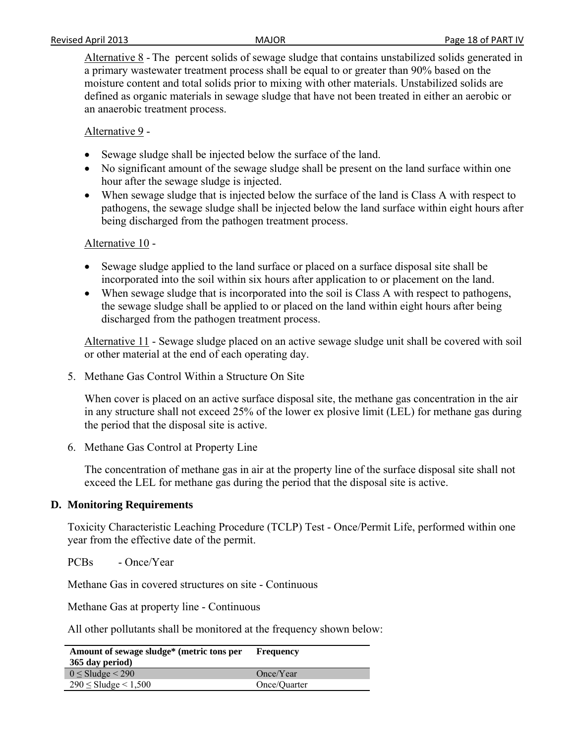Alternative 8 - The percent solids of sewage sludge that contains unstabilized solids generated in a primary wastewater treatment process shall be equal to or greater than 90% based on the moisture content and total solids prior to mixing with other materials. Unstabilized solids are defined as organic materials in sewage sludge that have not been treated in either an aerobic or an anaerobic treatment process.

Alternative 9 -

- Sewage sludge shall be injected below the surface of the land.
- No significant amount of the sewage sludge shall be present on the land surface within one hour after the sewage sludge is injected.
- When sewage sludge that is injected below the surface of the land is Class A with respect to pathogens, the sewage sludge shall be injected below the land surface within eight hours after being discharged from the pathogen treatment process.

### Alternative 10 -

- Sewage sludge applied to the land surface or placed on a surface disposal site shall be incorporated into the soil within six hours after application to or placement on the land.
- When sewage sludge that is incorporated into the soil is Class A with respect to pathogens, the sewage sludge shall be applied to or placed on the land within eight hours after being discharged from the pathogen treatment process.

Alternative 11 - Sewage sludge placed on an active sewage sludge unit shall be covered with soil or other material at the end of each operating day.

5. Methane Gas Control Within a Structure On Site

When cover is placed on an active surface disposal site, the methane gas concentration in the air in any structure shall not exceed 25% of the lower ex plosive limit (LEL) for methane gas during the period that the disposal site is active.

6. Methane Gas Control at Property Line

The concentration of methane gas in air at the property line of the surface disposal site shall not exceed the LEL for methane gas during the period that the disposal site is active.

### **D. Monitoring Requirements**

Toxicity Characteristic Leaching Procedure (TCLP) Test - Once/Permit Life, performed within one year from the effective date of the permit.

PCBs - Once/Year

Methane Gas in covered structures on site - Continuous

Methane Gas at property line - Continuous

All other pollutants shall be monitored at the frequency shown below:

| Amount of sewage sludge* (metric tons per<br>365 day period) | Frequency    |
|--------------------------------------------------------------|--------------|
| $0 \leq$ Sludge $\leq$ 290                                   | Once/Year    |
| $290 \leq$ Sludge $\leq 1,500$                               | Once/Ouarter |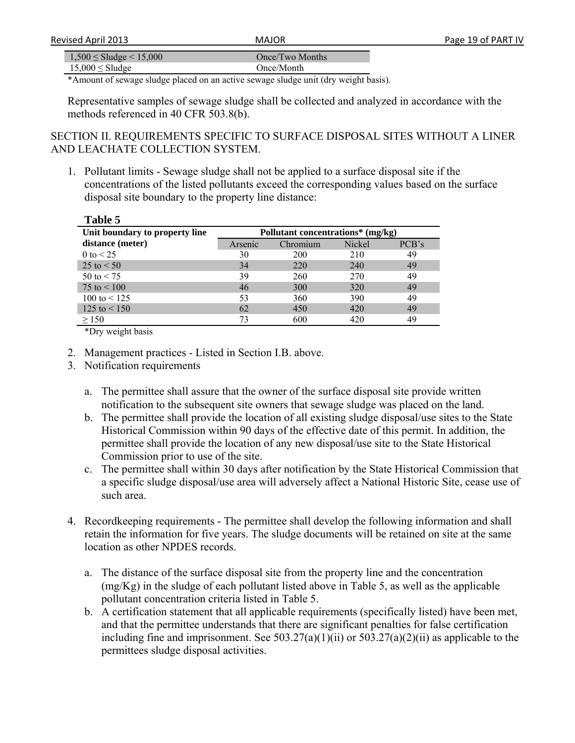| Revised April 2013                | <b>MAIOR</b>    |  |
|-----------------------------------|-----------------|--|
|                                   |                 |  |
| $1,500 \leq$ Sludge $\leq 15,000$ | Once/Two Months |  |

 $15,000 \leq$ Sludge Once/Month

\*Amount of sewage sludge placed on an active sewage sludge unit (dry weight basis).

Representative samples of sewage sludge shall be collected and analyzed in accordance with the methods referenced in 40 CFR 503.8(b).

SECTION II. REQUIREMENTS SPECIFIC TO SURFACE DISPOSAL SITES WITHOUT A LINER AND LEACHATE COLLECTION SYSTEM.

1. Pollutant limits - Sewage sludge shall not be applied to a surface disposal site if the concentrations of the listed pollutants exceed the corresponding values based on the surface disposal site boundary to the property line distance:

| Table 5                                 |                                   |       |  |
|-----------------------------------------|-----------------------------------|-------|--|
| Unit boundary to property line          | Pollutant concentrations* (mg/kg) |       |  |
| distance (meter)<br>Chromium<br>Arsenic | Nickel                            | PCB's |  |
| 0 to $< 25$<br>30<br>200                | 210                               | 49    |  |
| $25 \text{ to } < 50$<br>34<br>220      | 240                               | 49    |  |
| $50 \text{ to } 5$<br>39<br>260         | 270                               | 49    |  |
| 75 to $< 100$<br>46<br>300              | 320                               | 49    |  |
| 100 to $<$ 125<br>53<br>360             | 390                               | 49    |  |
| $125$ to $\leq 150$<br>62<br>450        | 420                               | 49    |  |
| 73<br>600<br>$\geq$ 150                 | 420                               | 49    |  |

\*Dry weight basis

- 2. Management practices Listed in Section I.B. above.
- 3. Notification requirements
	- a. The permittee shall assure that the owner of the surface disposal site provide written notification to the subsequent site owners that sewage sludge was placed on the land.
	- b. The permittee shall provide the location of all existing sludge disposal/use sites to the State Historical Commission within 90 days of the effective date of this permit. In addition, the permittee shall provide the location of any new disposal/use site to the State Historical Commission prior to use of the site.
	- c. The permittee shall within 30 days after notification by the State Historical Commission that a specific sludge disposal/use area will adversely affect a National Historic Site, cease use of such area.
- 4. Recordkeeping requirements The permittee shall develop the following information and shall retain the information for five years. The sludge documents will be retained on site at the same location as other NPDES records.
	- a. The distance of the surface disposal site from the property line and the concentration (mg/Kg) in the sludge of each pollutant listed above in Table 5, as well as the applicable pollutant concentration criteria listed in Table 5.
	- b. A certification statement that all applicable requirements (specifically listed) have been met, and that the permittee understands that there are significant penalties for false certification including fine and imprisonment. See  $503.27(a)(1)(ii)$  or  $503.27(a)(2)(ii)$  as applicable to the permittees sludge disposal activities.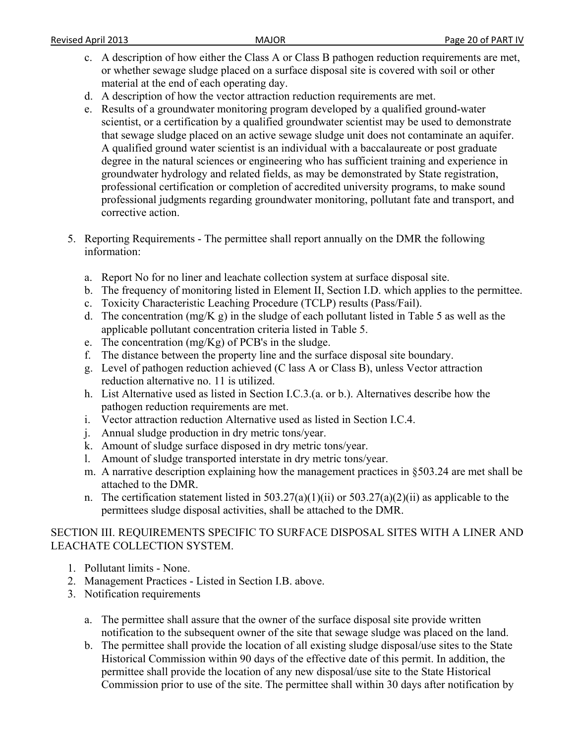- c. A description of how either the Class A or Class B pathogen reduction requirements are met, or whether sewage sludge placed on a surface disposal site is covered with soil or other material at the end of each operating day.
- d. A description of how the vector attraction reduction requirements are met.
- e. Results of a groundwater monitoring program developed by a qualified ground-water scientist, or a certification by a qualified groundwater scientist may be used to demonstrate that sewage sludge placed on an active sewage sludge unit does not contaminate an aquifer. A qualified ground water scientist is an individual with a baccalaureate or post graduate degree in the natural sciences or engineering who has sufficient training and experience in groundwater hydrology and related fields, as may be demonstrated by State registration, professional certification or completion of accredited university programs, to make sound professional judgments regarding groundwater monitoring, pollutant fate and transport, and corrective action.
- 5. Reporting Requirements The permittee shall report annually on the DMR the following information:
	- a. Report No for no liner and leachate collection system at surface disposal site.
	- b. The frequency of monitoring listed in Element II, Section I.D. which applies to the permittee.
	- c. Toxicity Characteristic Leaching Procedure (TCLP) results (Pass/Fail).
	- d. The concentration  $(mg/K g)$  in the sludge of each pollutant listed in Table 5 as well as the applicable pollutant concentration criteria listed in Table 5.
	- e. The concentration  $(mg/Kg)$  of PCB's in the sludge.
	- f. The distance between the property line and the surface disposal site boundary.
	- g. Level of pathogen reduction achieved (C lass A or Class B), unless Vector attraction reduction alternative no. 11 is utilized.
	- h. List Alternative used as listed in Section I.C.3.(a. or b.). Alternatives describe how the pathogen reduction requirements are met.
	- i. Vector attraction reduction Alternative used as listed in Section I.C.4.
	- j. Annual sludge production in dry metric tons/year.
	- k. Amount of sludge surface disposed in dry metric tons/year.
	- l. Amount of sludge transported interstate in dry metric tons/year.
	- m. A narrative description explaining how the management practices in §503.24 are met shall be attached to the DMR.
	- n. The certification statement listed in  $503.27(a)(1)(ii)$  or  $503.27(a)(2)(ii)$  as applicable to the permittees sludge disposal activities, shall be attached to the DMR.

## SECTION III. REQUIREMENTS SPECIFIC TO SURFACE DISPOSAL SITES WITH A LINER AND LEACHATE COLLECTION SYSTEM.

- 1. Pollutant limits None.
- 2. Management Practices Listed in Section I.B. above.
- 3. Notification requirements
	- a. The permittee shall assure that the owner of the surface disposal site provide written notification to the subsequent owner of the site that sewage sludge was placed on the land.
	- b. The permittee shall provide the location of all existing sludge disposal/use sites to the State Historical Commission within 90 days of the effective date of this permit. In addition, the permittee shall provide the location of any new disposal/use site to the State Historical Commission prior to use of the site. The permittee shall within 30 days after notification by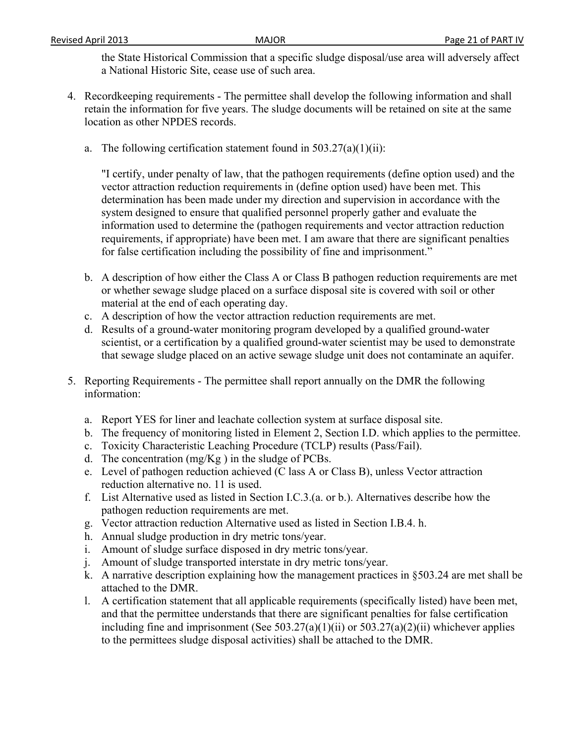the State Historical Commission that a specific sludge disposal/use area will adversely affect a National Historic Site, cease use of such area.

- 4. Recordkeeping requirements The permittee shall develop the following information and shall retain the information for five years. The sludge documents will be retained on site at the same location as other NPDES records.
	- a. The following certification statement found in  $503.27(a)(1)(ii)$ :

"I certify, under penalty of law, that the pathogen requirements (define option used) and the vector attraction reduction requirements in (define option used) have been met. This determination has been made under my direction and supervision in accordance with the system designed to ensure that qualified personnel properly gather and evaluate the information used to determine the (pathogen requirements and vector attraction reduction requirements, if appropriate) have been met. I am aware that there are significant penalties for false certification including the possibility of fine and imprisonment."

- b. A description of how either the Class A or Class B pathogen reduction requirements are met or whether sewage sludge placed on a surface disposal site is covered with soil or other material at the end of each operating day.
- c. A description of how the vector attraction reduction requirements are met.
- d. Results of a ground-water monitoring program developed by a qualified ground-water scientist, or a certification by a qualified ground-water scientist may be used to demonstrate that sewage sludge placed on an active sewage sludge unit does not contaminate an aquifer.
- 5. Reporting Requirements The permittee shall report annually on the DMR the following information:
	- a. Report YES for liner and leachate collection system at surface disposal site.
	- b. The frequency of monitoring listed in Element 2, Section I.D. which applies to the permittee.
	- c. Toxicity Characteristic Leaching Procedure (TCLP) results (Pass/Fail).
	- d. The concentration  $(mg/Kg)$  in the sludge of PCBs.
	- e. Level of pathogen reduction achieved (C lass A or Class B), unless Vector attraction reduction alternative no. 11 is used.
	- f. List Alternative used as listed in Section I.C.3.(a. or b.). Alternatives describe how the pathogen reduction requirements are met.
	- g. Vector attraction reduction Alternative used as listed in Section I.B.4. h.
	- h. Annual sludge production in dry metric tons/year.
	- i. Amount of sludge surface disposed in dry metric tons/year.
	- j. Amount of sludge transported interstate in dry metric tons/year.
	- k. A narrative description explaining how the management practices in §503.24 are met shall be attached to the DMR.
	- l. A certification statement that all applicable requirements (specifically listed) have been met, and that the permittee understands that there are significant penalties for false certification including fine and imprisonment (See 503.27(a)(1)(ii) or 503.27(a)(2)(ii) whichever applies to the permittees sludge disposal activities) shall be attached to the DMR.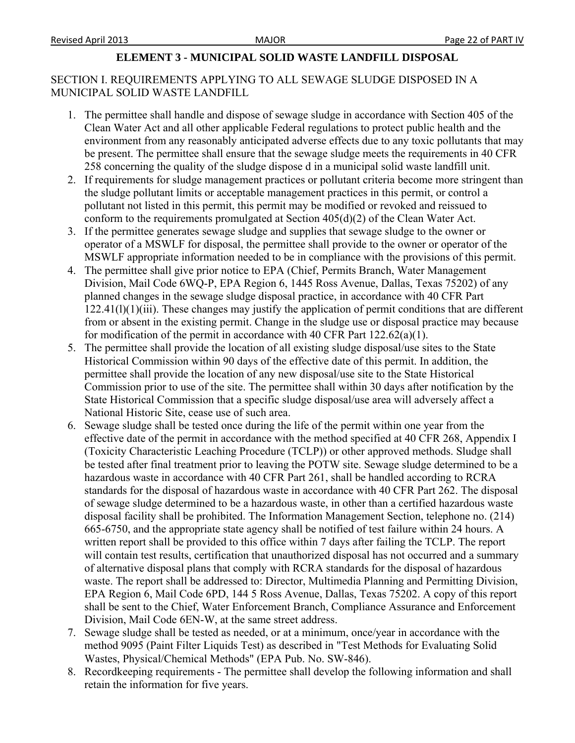### **ELEMENT 3 - MUNICIPAL SOLID WASTE LANDFILL DISPOSAL**

# SECTION I. REQUIREMENTS APPLYING TO ALL SEWAGE SLUDGE DISPOSED IN A MUNICIPAL SOLID WASTE LANDFILL

- 1. The permittee shall handle and dispose of sewage sludge in accordance with Section 405 of the Clean Water Act and all other applicable Federal regulations to protect public health and the environment from any reasonably anticipated adverse effects due to any toxic pollutants that may be present. The permittee shall ensure that the sewage sludge meets the requirements in 40 CFR 258 concerning the quality of the sludge dispose d in a municipal solid waste landfill unit.
- 2. If requirements for sludge management practices or pollutant criteria become more stringent than the sludge pollutant limits or acceptable management practices in this permit, or control a pollutant not listed in this permit, this permit may be modified or revoked and reissued to conform to the requirements promulgated at Section 405(d)(2) of the Clean Water Act.
- 3. If the permittee generates sewage sludge and supplies that sewage sludge to the owner or operator of a MSWLF for disposal, the permittee shall provide to the owner or operator of the MSWLF appropriate information needed to be in compliance with the provisions of this permit.
- 4. The permittee shall give prior notice to EPA (Chief, Permits Branch, Water Management Division, Mail Code 6WQ-P, EPA Region 6, 1445 Ross Avenue, Dallas, Texas 75202) of any planned changes in the sewage sludge disposal practice, in accordance with 40 CFR Part 122.41(l)(1)(iii). These changes may justify the application of permit conditions that are different from or absent in the existing permit. Change in the sludge use or disposal practice may because for modification of the permit in accordance with 40 CFR Part 122.62(a)(1).
- 5. The permittee shall provide the location of all existing sludge disposal/use sites to the State Historical Commission within 90 days of the effective date of this permit. In addition, the permittee shall provide the location of any new disposal/use site to the State Historical Commission prior to use of the site. The permittee shall within 30 days after notification by the State Historical Commission that a specific sludge disposal/use area will adversely affect a National Historic Site, cease use of such area.
- 6. Sewage sludge shall be tested once during the life of the permit within one year from the effective date of the permit in accordance with the method specified at 40 CFR 268, Appendix I (Toxicity Characteristic Leaching Procedure (TCLP)) or other approved methods. Sludge shall be tested after final treatment prior to leaving the POTW site. Sewage sludge determined to be a hazardous waste in accordance with 40 CFR Part 261, shall be handled according to RCRA standards for the disposal of hazardous waste in accordance with 40 CFR Part 262. The disposal of sewage sludge determined to be a hazardous waste, in other than a certified hazardous waste disposal facility shall be prohibited. The Information Management Section, telephone no. (214) 665-6750, and the appropriate state agency shall be notified of test failure within 24 hours. A written report shall be provided to this office within 7 days after failing the TCLP. The report will contain test results, certification that unauthorized disposal has not occurred and a summary of alternative disposal plans that comply with RCRA standards for the disposal of hazardous waste. The report shall be addressed to: Director, Multimedia Planning and Permitting Division, EPA Region 6, Mail Code 6PD, 144 5 Ross Avenue, Dallas, Texas 75202. A copy of this report shall be sent to the Chief, Water Enforcement Branch, Compliance Assurance and Enforcement Division, Mail Code 6EN-W, at the same street address.
- 7. Sewage sludge shall be tested as needed, or at a minimum, once/year in accordance with the method 9095 (Paint Filter Liquids Test) as described in "Test Methods for Evaluating Solid Wastes, Physical/Chemical Methods" (EPA Pub. No. SW-846).
- 8. Recordkeeping requirements The permittee shall develop the following information and shall retain the information for five years.